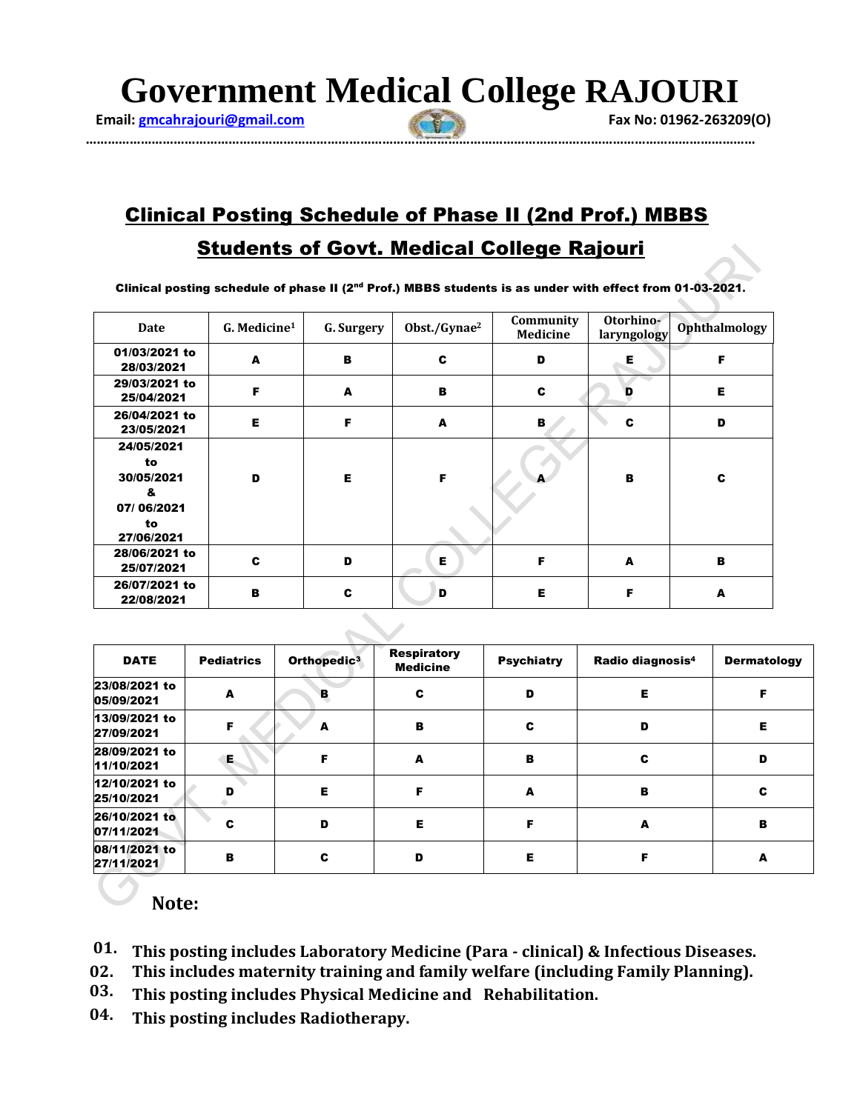**Government Medical College RAJOURI**

 **Email: gmcahrajouri@gmail.com Fax No: 01962-263209(O) Fax No: 01962-263209(O)** 

**…………………………………………………………………………………………………………………………………………………………………**

## Clinical Posting Schedule of Phase II (2nd Prof.) MBBS Students of Govt. Medical College Rajouri

Clinical posting schedule of phase II (2nd Prof.) MBBS students is as under with effect from 01-03-2021**.**

| Date                                                                  | G. Medicine <sup>1</sup> | G. Surgery | Obst./Gynae <sup>2</sup> | Community<br><b>Medicine</b> | Otorhino-<br>laryngology | <b>Ophthalmology</b> |
|-----------------------------------------------------------------------|--------------------------|------------|--------------------------|------------------------------|--------------------------|----------------------|
| 01/03/2021 to<br>28/03/2021                                           | A                        | в          | c                        | D                            | Е                        | F                    |
| 29/03/2021 to<br>25/04/2021                                           | F                        | A          | в                        | C                            |                          | Е                    |
| 26/04/2021 to<br>23/05/2021                                           | Е                        | F          | A                        | в                            | C                        | D                    |
| 24/05/2021<br>to<br>30/05/2021<br>&<br>07/06/2021<br>to<br>27/06/2021 | D                        | Е          | F                        |                              | в                        | C                    |
| 28/06/2021 to<br>25/07/2021                                           | c                        | D          | Е                        | F                            | A                        | в                    |
| 26/07/2021 to<br>22/08/2021                                           | в                        | c          | D                        | Е                            | F                        | A                    |

| <b>DATE</b>                 | <b>Pediatrics</b> | Orthopedic <sup>3</sup> | <b>Respiratory</b><br><b>Medicine</b> | <b>Psychiatry</b> | Radio diagnosis <sup>4</sup> | <b>Dermatology</b> |
|-----------------------------|-------------------|-------------------------|---------------------------------------|-------------------|------------------------------|--------------------|
| 23/08/2021 to<br>05/09/2021 | A                 | в                       | C                                     | D                 | Е                            |                    |
| 13/09/2021 to<br>27/09/2021 | Е                 |                         | в                                     | c                 | D                            | Е                  |
| 28/09/2021 to<br>11/10/2021 | Е.                |                         | A                                     | в                 | c                            | D                  |
| 12/10/2021 to<br>25/10/2021 |                   | Е                       | F                                     | A                 | в                            | c                  |
| 26/10/2021 to<br>07/11/2021 |                   | D                       | Е                                     |                   | A                            | в                  |
| 08/11/2021 to<br>27/11/2021 | в                 | С                       | D                                     | Е                 |                              | А                  |

## **Note:**

- **01. This posting includes Laboratory Medicine (Para - clinical) & Infectious Diseases.**
- **02. This includes maternity training and family welfare (including Family Planning).**
- **03. This posting includes Physical Medicine and Rehabilitation.**
- **04. This posting includes Radiotherapy.**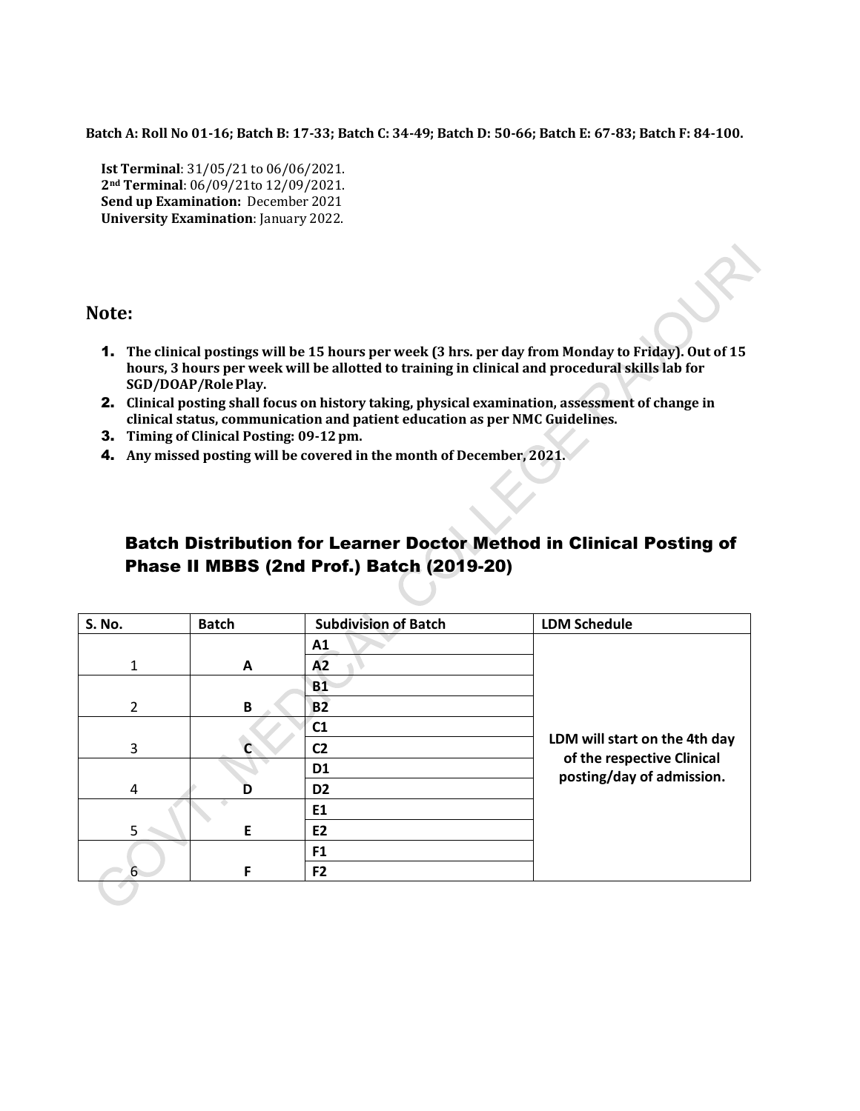**Batch A: Roll No 01-16; Batch B: 17-33; Batch C: 34-49; Batch D: 50-66; Batch E: 67-83; Batch F: 84-100.**

**Ist Terminal**: 31/05/21 to 06/06/2021. **2nd Terminal**: 06/09/21to 12/09/2021. **Send up Examination:** December 2021 **University Examination**: January 2022.

## **Note:**

- 1. **The clinical postings will be 15 hours per week (3 hrs. per day from Monday to Friday). Out of 15 hours, 3 hours per week will be allotted to training in clinical and procedural skills lab for SGD/DOAP/RolePlay.**
- 2. **Clinical posting shall focus on history taking, physical examination, assessment of change in clinical status, communication and patient education as per NMC Guidelines.**
- 3. **Timing of Clinical Posting: 09-12pm.**
- 4. **Any missed posting will be covered in the month of December, 2021.**

## Batch Distribution for Learner Doctor Method in Clinical Posting of Phase II MBBS (2nd Prof.) Batch (2019-20)

| <b>S. No.</b>       | <b>Batch</b>   | <b>Subdivision of Batch</b>   | <b>LDM Schedule</b>                                     |
|---------------------|----------------|-------------------------------|---------------------------------------------------------|
|                     |                | A1                            |                                                         |
| 1                   | A              | A2                            |                                                         |
|                     |                | <b>B1</b>                     |                                                         |
| $\overline{2}$<br>B |                | B <sub>2</sub>                |                                                         |
|                     |                | C1                            |                                                         |
| 3                   | C <sub>2</sub> | LDM will start on the 4th day |                                                         |
|                     |                | D <sub>1</sub>                | of the respective Clinical<br>posting/day of admission. |
| 4                   | D              | D <sub>2</sub>                |                                                         |
|                     |                | E1                            |                                                         |
| 5                   | E              | <b>E2</b>                     |                                                         |
|                     |                | F <sub>1</sub>                |                                                         |
| 6                   | F              | F <sub>2</sub>                |                                                         |